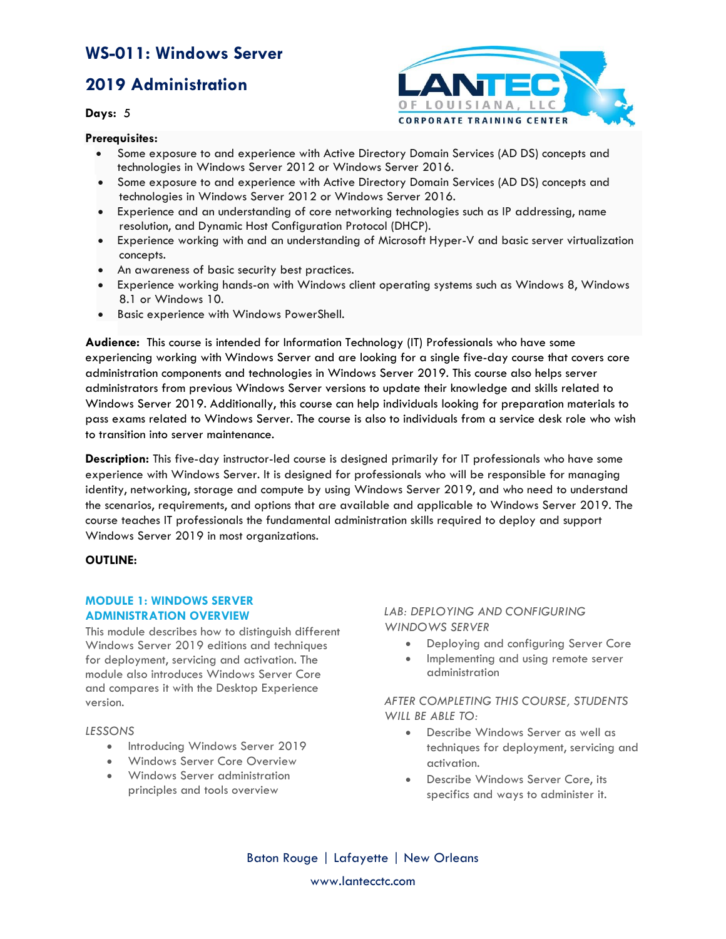## **2019 Administration**

**Days:** 5



**Prerequisites:** 

- Some exposure to and experience with Active Directory Domain Services (AD DS) concepts and technologies in Windows Server 2012 or Windows Server 2016.
- Some exposure to and experience with Active Directory Domain Services (AD DS) concepts and technologies in Windows Server 2012 or Windows Server 2016.
- Experience and an understanding of core networking technologies such as IP addressing, name resolution, and Dynamic Host Configuration Protocol (DHCP).
- Experience working with and an understanding of Microsoft Hyper-V and basic server virtualization concepts.
- An awareness of basic security best practices.
- Experience working hands-on with Windows client operating systems such as Windows 8, Windows 8.1 or Windows 10.
- Basic experience with Windows PowerShell.

**Audience:** This course is intended for Information Technology (IT) Professionals who have some experiencing working with Windows Server and are looking for a single five-day course that covers core administration components and technologies in Windows Server 2019. This course also helps server administrators from previous Windows Server versions to update their knowledge and skills related to Windows Server 2019. Additionally, this course can help individuals looking for preparation materials to pass exams related to Windows Server. The course is also to individuals from a service desk role who wish to transition into server maintenance.

**Description:** This five-day instructor-led course is designed primarily for IT professionals who have some experience with Windows Server. It is designed for professionals who will be responsible for managing identity, networking, storage and compute by using Windows Server 2019, and who need to understand the scenarios, requirements, and options that are available and applicable to Windows Server 2019. The course teaches IT professionals the fundamental administration skills required to deploy and support Windows Server 2019 in most organizations.

#### **OUTLINE:**

#### **MODULE 1: WINDOWS SERVER ADMINISTRATION OVERVIEW**

This module describes how to distinguish different Windows Server 2019 editions and techniques for deployment, servicing and activation. The module also introduces Windows Server Core and compares it with the Desktop Experience version.

#### *LESSONS*

- Introducing Windows Server 2019
- Windows Server Core Overview
- Windows Server administration principles and tools overview

#### *LAB: DEPLOYING AND CONFIGURING WINDOWS SERVER*

- Deploying and configuring Server Core
- Implementing and using remote server administration

*AFTER COMPLETING THIS COURSE, STUDENTS WILL BE ABLE TO:*

- Describe Windows Server as well as techniques for deployment, servicing and activation.
- Describe Windows Server Core, its specifics and ways to administer it.

Baton Rouge | Lafayette | New Orleans www.lantecctc.com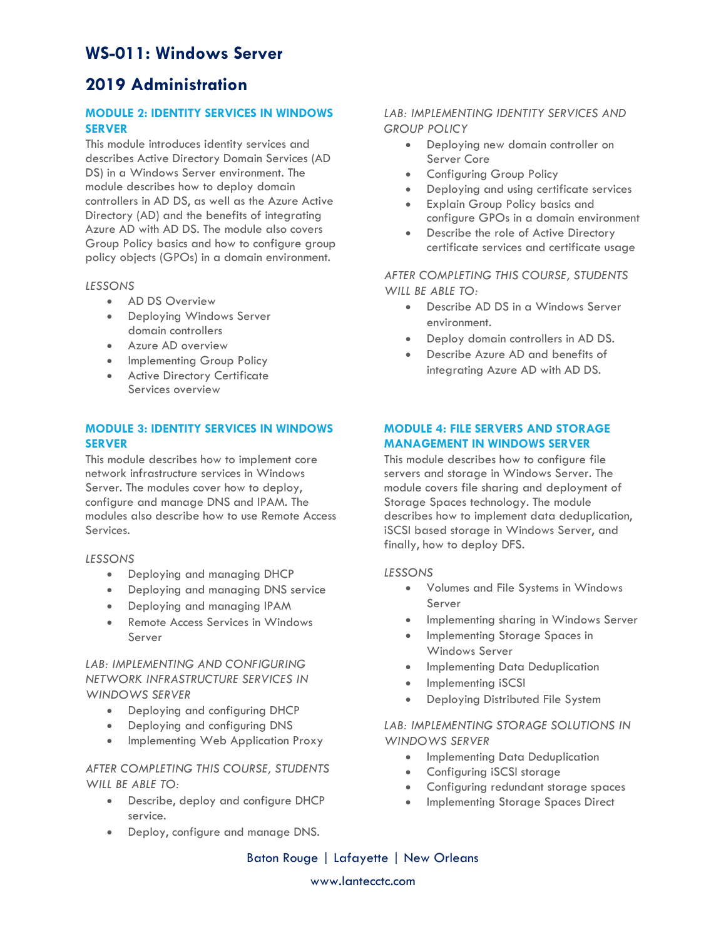# **2019 Administration**

## **MODULE 2: IDENTITY SERVICES IN WINDOWS SERVER**

This module introduces identity services and describes Active Directory Domain Services (AD DS) in a Windows Server environment. The module describes how to deploy domain controllers in AD DS, as well as the Azure Active Directory (AD) and the benefits of integrating Azure AD with AD DS. The module also covers Group Policy basics and how to configure group policy objects (GPOs) in a domain environment.

#### *LESSONS*

- AD DS Overview
- Deploying Windows Server domain controllers
- Azure AD overview
- Implementing Group Policy
- Active Directory Certificate Services overview

## **MODULE 3: IDENTITY SERVICES IN WINDOWS SERVER**

This module describes how to implement core network infrastructure services in Windows Server. The modules cover how to deploy, configure and manage DNS and IPAM. The modules also describe how to use Remote Access Services.

#### *LESSONS*

- Deploying and managing DHCP
- Deploying and managing DNS service
- Deploying and managing IPAM
- Remote Access Services in Windows Server

## *LAB: IMPLEMENTING AND CONFIGURING NETWORK INFRASTRUCTURE SERVICES IN WINDOWS SERVER*

- Deploying and configuring DHCP
- Deploying and configuring DNS
- Implementing Web Application Proxy

#### *AFTER COMPLETING THIS COURSE, STUDENTS WILL BE ABLE TO:*

- Describe, deploy and configure DHCP service.
- Deploy, configure and manage DNS.

## *LAB: IMPLEMENTING IDENTITY SERVICES AND GROUP POLICY*

- Deploying new domain controller on Server Core
- Configuring Group Policy
- Deploying and using certificate services
- Explain Group Policy basics and configure GPOs in a domain environment
- Describe the role of Active Directory certificate services and certificate usage

## *AFTER COMPLETING THIS COURSE, STUDENTS WILL BE ABLE TO:*

- Describe AD DS in a Windows Server environment.
- Deploy domain controllers in AD DS.
- Describe Azure AD and benefits of integrating Azure AD with AD DS.

## **MODULE 4: FILE SERVERS AND STORAGE MANAGEMENT IN WINDOWS SERVER**

This module describes how to configure file servers and storage in Windows Server. The module covers file sharing and deployment of Storage Spaces technology. The module describes how to implement data deduplication, iSCSI based storage in Windows Server, and finally, how to deploy DFS.

#### *LESSONS*

- Volumes and File Systems in Windows Server
- Implementing sharing in Windows Server
- Implementing Storage Spaces in Windows Server
- Implementing Data Deduplication
- Implementing iSCSI
- Deploying Distributed File System

## *LAB: IMPLEMENTING STORAGE SOLUTIONS IN WINDOWS SERVER*

- Implementing Data Deduplication
- Configuring iSCSI storage
- Configuring redundant storage spaces
- Implementing Storage Spaces Direct

Baton Rouge | Lafayette | New Orleans

www.lantecctc.com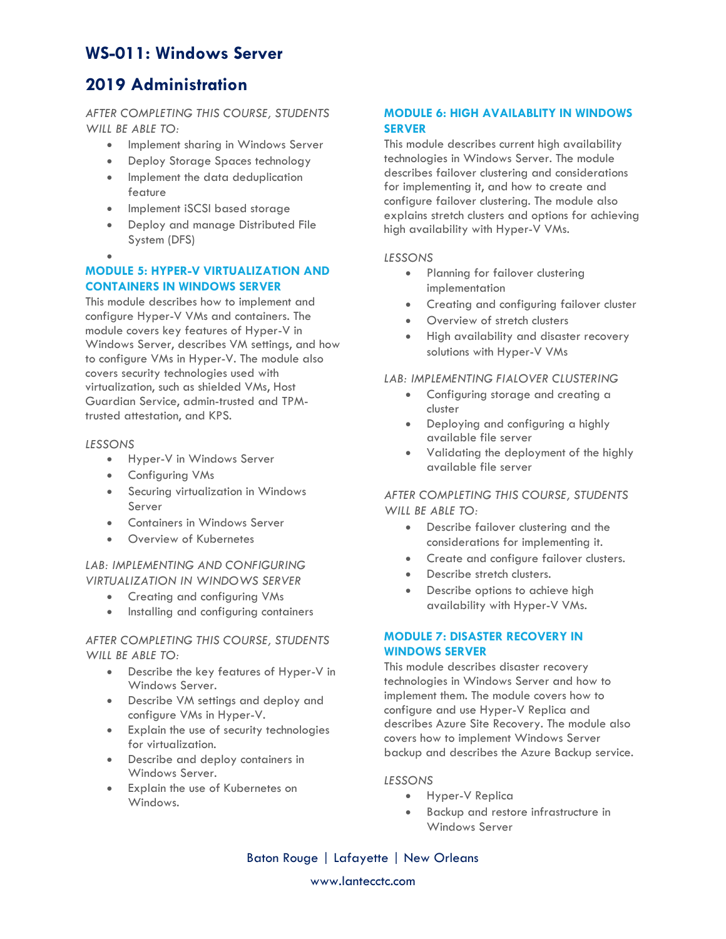# **2019 Administration**

*AFTER COMPLETING THIS COURSE, STUDENTS WILL BE ABLE TO:*

- Implement sharing in Windows Server
- Deploy Storage Spaces technology
- Implement the data deduplication feature
- Implement iSCSI based storage
- Deploy and manage Distributed File System (DFS)
- •

## **MODULE 5: HYPER-V VIRTUALIZATION AND CONTAINERS IN WINDOWS SERVER**

This module describes how to implement and configure Hyper-V VMs and containers. The module covers key features of Hyper-V in Windows Server, describes VM settings, and how to configure VMs in Hyper-V. The module also covers security technologies used with virtualization, such as shielded VMs, Host Guardian Service, admin-trusted and TPMtrusted attestation, and KPS.

#### *LESSONS*

- Hyper-V in Windows Server
- Configuring VMs
- Securing virtualization in Windows Server
- Containers in Windows Server
- Overview of Kubernetes

#### *LAB: IMPLEMENTING AND CONFIGURING VIRTUALIZATION IN WINDOWS SERVER*

- Creating and configuring VMs
- Installing and configuring containers

#### *AFTER COMPLETING THIS COURSE, STUDENTS WILL BE ABLE TO:*

- Describe the key features of Hyper-V in Windows Server.
- Describe VM settings and deploy and configure VMs in Hyper-V.
- Explain the use of security technologies for virtualization.
- Describe and deploy containers in Windows Server.
- Explain the use of Kubernetes on Windows.

## **MODULE 6: HIGH AVAILABLITY IN WINDOWS SERVER**

This module describes current high availability technologies in Windows Server. The module describes failover clustering and considerations for implementing it, and how to create and configure failover clustering. The module also explains stretch clusters and options for achieving high availability with Hyper-V VMs.

## *LESSONS*

- Planning for failover clustering implementation
- Creating and configuring failover cluster
- Overview of stretch clusters
- High availability and disaster recovery solutions with Hyper-V VMs

## *LAB: IMPLEMENTING FIALOVER CLUSTERING*

- Configuring storage and creating a cluster
- Deploying and configuring a highly available file server
- Validating the deployment of the highly available file server

## *AFTER COMPLETING THIS COURSE, STUDENTS WILL BE ABLE TO:*

- Describe failover clustering and the considerations for implementing it.
- Create and configure failover clusters.
- Describe stretch clusters.
- Describe options to achieve high availability with Hyper-V VMs.

## **MODULE 7: DISASTER RECOVERY IN WINDOWS SERVER**

This module describes disaster recovery technologies in Windows Server and how to implement them. The module covers how to configure and use Hyper-V Replica and describes Azure Site Recovery. The module also covers how to implement Windows Server backup and describes the Azure Backup service.

#### *LESSONS*

- Hyper-V Replica
- Backup and restore infrastructure in Windows Server

Baton Rouge | Lafayette | New Orleans

www.lantecctc.com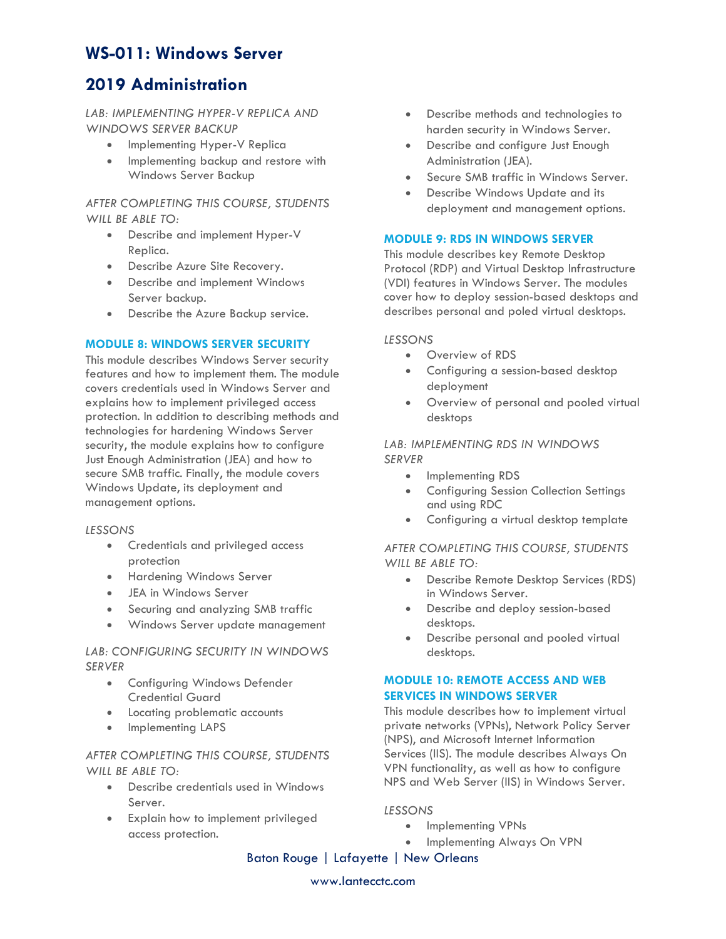# **2019 Administration**

*LAB: IMPLEMENTING HYPER-V REPLICA AND WINDOWS SERVER BACKUP*

- Implementing Hyper-V Replica
- Implementing backup and restore with Windows Server Backup

*AFTER COMPLETING THIS COURSE, STUDENTS WILL BE ABLE TO:*

- Describe and implement Hyper-V Replica.
- Describe Azure Site Recovery.
- Describe and implement Windows Server backup.
- Describe the Azure Backup service.

#### **MODULE 8: WINDOWS SERVER SECURITY**

This module describes Windows Server security features and how to implement them. The module covers credentials used in Windows Server and explains how to implement privileged access protection. In addition to describing methods and technologies for hardening Windows Server security, the module explains how to configure Just Enough Administration (JEA) and how to secure SMB traffic. Finally, the module covers Windows Update, its deployment and management options.

#### *LESSONS*

- Credentials and privileged access protection
- Hardening Windows Server
- JEA in Windows Server
- Securing and analyzing SMB traffic
- Windows Server update management

#### *LAB: CONFIGURING SECURITY IN WINDOWS SERVER*

- Configuring Windows Defender Credential Guard
- Locating problematic accounts
- Implementing LAPS

## *AFTER COMPLETING THIS COURSE, STUDENTS WILL BE ABLE TO:*

- Describe credentials used in Windows Server.
- Explain how to implement privileged access protection.
- Describe methods and technologies to harden security in Windows Server.
- Describe and configure Just Enough Administration (JEA).
- Secure SMB traffic in Windows Server.
- Describe Windows Update and its deployment and management options.

#### **MODULE 9: RDS IN WINDOWS SERVER**

This module describes key Remote Desktop Protocol (RDP) and Virtual Desktop Infrastructure (VDI) features in Windows Server. The modules cover how to deploy session-based desktops and describes personal and poled virtual desktops.

### *LESSONS*

- Overview of RDS
- Configuring a session-based desktop deployment
- Overview of personal and pooled virtual desktops

## *LAB: IMPLEMENTING RDS IN WINDOWS SERVER*

- Implementing RDS
- Configuring Session Collection Settings and using RDC
- Configuring a virtual desktop template

### *AFTER COMPLETING THIS COURSE, STUDENTS WILL BE ABLE TO:*

- Describe Remote Desktop Services (RDS) in Windows Server.
- Describe and deploy session-based desktops.
- Describe personal and pooled virtual desktops.

## **MODULE 10: REMOTE ACCESS AND WEB SERVICES IN WINDOWS SERVER**

This module describes how to implement virtual private networks (VPNs), Network Policy Server (NPS), and Microsoft Internet Information Services (IIS). The module describes Always On VPN functionality, as well as how to configure NPS and Web Server (IIS) in Windows Server.

#### *LESSONS*

- Implementing VPNs
- Implementing Always On VPN

Baton Rouge | Lafayette | New Orleans

#### www.lantecctc.com